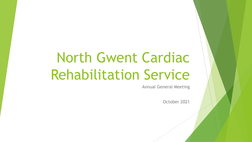# North Gwent Cardiac Rehabilitation Service

Annual General Meeting

October 2021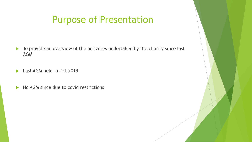### Purpose of Presentation

- $\blacktriangleright$  To provide an overview of the activities undertaken by the charity since last AGM
- **Last AGM held in Oct 2019**
- $\triangleright$  No AGM since due to covid restrictions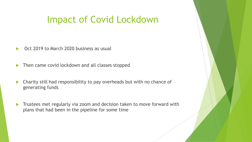#### Impact of Covid Lockdown

- Oct 2019 to March 2020 business as usual
- $\blacktriangleright$  Then came covid lockdown and all classes stopped
- $\blacktriangleright$  Charity still had responsibility to pay overheads but with no chance of generating funds
- $\blacktriangleright$  Trustees met regularly via zoom and decision taken to move forward with plans that had been in the pipeline for some time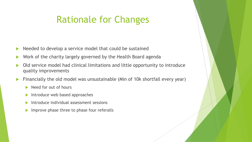# Rationale for Changes

- Needed to develop a service model that could be sustained
- Work of the charity largely governed by the Health Board agenda
- Old service model had clinical limitations and little opportunity to introduce quality improvements
- Financially the old model was unsustainable (Min of 10k shortfall every year)
	- $\blacktriangleright$  Need for out of hours
	- $\blacktriangleright$  Introduce web based approaches
	- Introduce individual assessment sessions
	- $\blacktriangleright$  Improve phase three to phase four referalls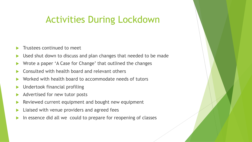## Activities During Lockdown

- Trustees continued to meet
- Used shut down to discuss and plan changes that needed to be made
- Wrote a paper 'A Case for Change' that outlined the changes
- Consulted with health board and relevant others
- Worked with health board to accommodate needs of tutors
- Undertook financial profiling
- Advertised for new tutor posts
- Reviewed current equipment and bought new equipment
- Liaised with venue providers and agreed fees
- In essence did all we could to prepare for reopening of classes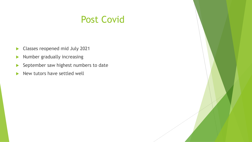#### Post Covid

- **Classes reopened mid July 2021**
- $\blacktriangleright$  Number gradually increasing
- $\blacktriangleright$  September saw highest numbers to date
- $\blacktriangleright$  New tutors have settled well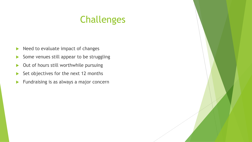# Challenges

- $\blacktriangleright$  Need to evaluate impact of changes
- Some venues still appear to be struggling
- $\triangleright$  Out of hours still worthwhile pursuing
- $\triangleright$  Set objectives for the next 12 months
- $\blacktriangleright$  Fundraising is as always a major concern